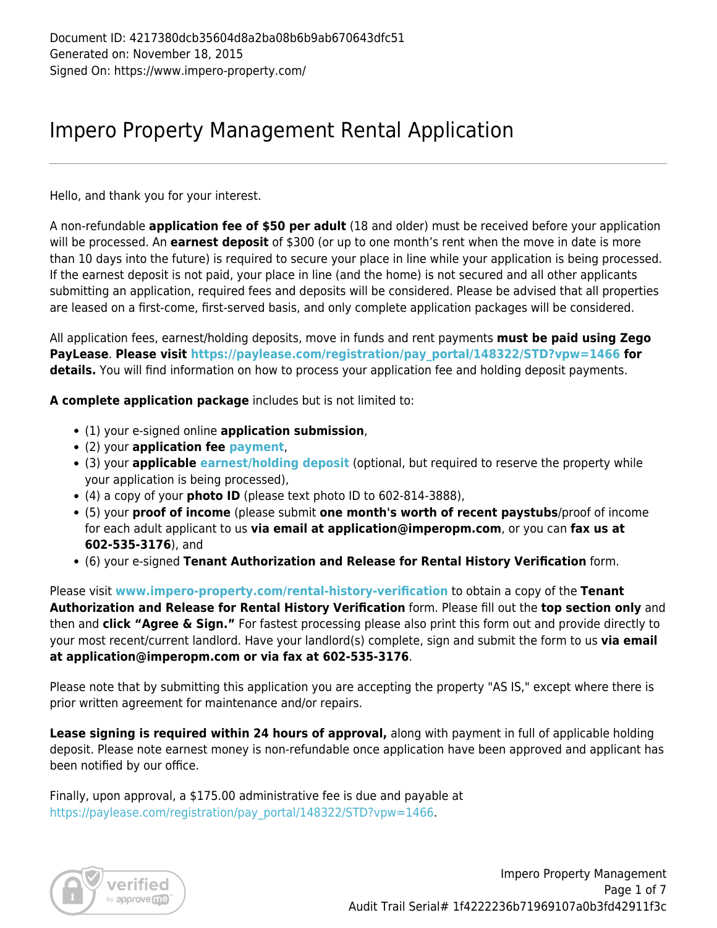## Impero Property Management Rental Application

Hello, and thank you for your interest.

A non-refundable **application fee of \$50 per adult** (18 and older) must be received before your application will be processed. An **earnest deposit** of \$300 (or up to one month's rent when the move in date is more than 10 days into the future) is required to secure your place in line while your application is being processed. If the earnest deposit is not paid, your place in line (and the home) is not secured and all other applicants submitting an application, required fees and deposits will be considered. Please be advised that all properties are leased on a first-come, first-served basis, and only complete application packages will be considered.

All application fees, earnest/holding deposits, move in funds and rent payments **must be paid using Zego PayLease**. **Please visit [https://paylease.com/registration/pay\\_portal/148322/STD?vpw=1466](https://paylease.com/registration/pay_portal/148322/STD?vpw=1466) for details.** You will find information on how to process your application fee and holding deposit payments.

**A complete application package** includes but is not limited to:

- (1) your e-signed online **application submission**,
- (2) your **application fee [payment](https://paylease.com/registration/pay_portal/148322/STD?vpw=1466)**,
- (3) your **applicable [earnest/holding deposit](https://paylease.com/registration/pay_portal/148322/STD?vpw=1466)** (optional, but required to reserve the property while your application is being processed),
- (4) a copy of your **photo ID** (please text photo ID to 602-814-3888),
- (5) your **proof of income** (please submit **one month's worth of recent paystubs**/proof of income for each adult applicant to us **via email at application@imperopm.com**, or you can **fax us at 602-535-3176**), and
- (6) your e-signed **Tenant Authorization and Release for Rental History Verification** form.

Please visit **[www.impero-property.com/rental-history-verification](http://www.impero-property.com/rental-history-verification)** to obtain a copy of the **Tenant Authorization and Release for Rental History Verification** form. Please fill out the **top section only** and then and **click "Agree & Sign."** For fastest processing please also print this form out and provide directly to your most recent/current landlord. Have your landlord(s) complete, sign and submit the form to us **via email at application@imperopm.com or via fax at 602-535-3176**.

Please note that by submitting this application you are accepting the property "AS IS," except where there is prior written agreement for maintenance and/or repairs.

**Lease signing is required within 24 hours of approval,** along with payment in full of applicable holding deposit. Please note earnest money is non-refundable once application have been approved and applicant has been notified by our office.

Finally, upon approval, a \$175.00 administrative fee is due and payable at [https://paylease.com/registration/pay\\_portal/148322/STD?vpw=1466.](https://paylease.com/registration/pay_portal/148322/STD?vpw=1466)

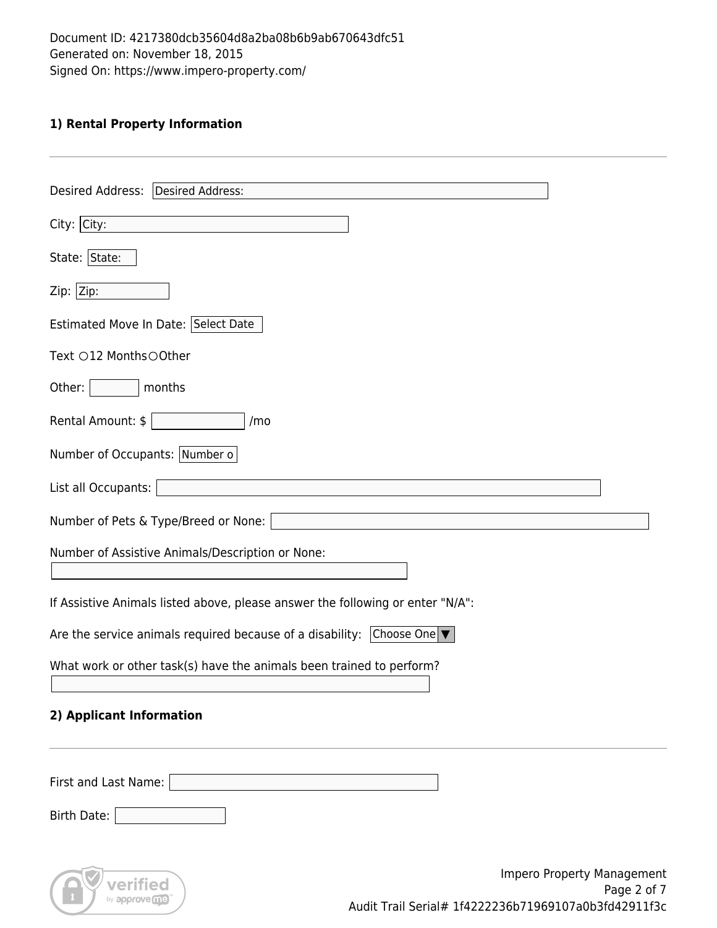### **1) Rental Property Information**

| Desired Address:   Desired Address:                                                                                                  |
|--------------------------------------------------------------------------------------------------------------------------------------|
|                                                                                                                                      |
| $City:$ City:                                                                                                                        |
| State: State:                                                                                                                        |
| Zip:  Zip:                                                                                                                           |
| Estimated Move In Date: Select Date                                                                                                  |
| Text ○12 Months○Other                                                                                                                |
| Other:<br>months                                                                                                                     |
| Rental Amount: \$<br>/mo                                                                                                             |
| Number of Occupants: Number o                                                                                                        |
| List all Occupants:                                                                                                                  |
| Number of Pets & Type/Breed or None:                                                                                                 |
| Number of Assistive Animals/Description or None:                                                                                     |
| If Assistive Animals listed above, please answer the following or enter "N/A":                                                       |
| Are the service animals required because of a disability: $ $ Choose One $ \blacktriangledown $                                      |
| What work or other task(s) have the animals been trained to perform?                                                                 |
| 2) Applicant Information                                                                                                             |
| First and Last Name:                                                                                                                 |
| Birth Date:                                                                                                                          |
| Impero Property Management<br>verified<br>Page 2 of 7<br>by approve me<br>$A_{11}$ dit Trail Carial# 1f122226671060107a062fd12011f2a |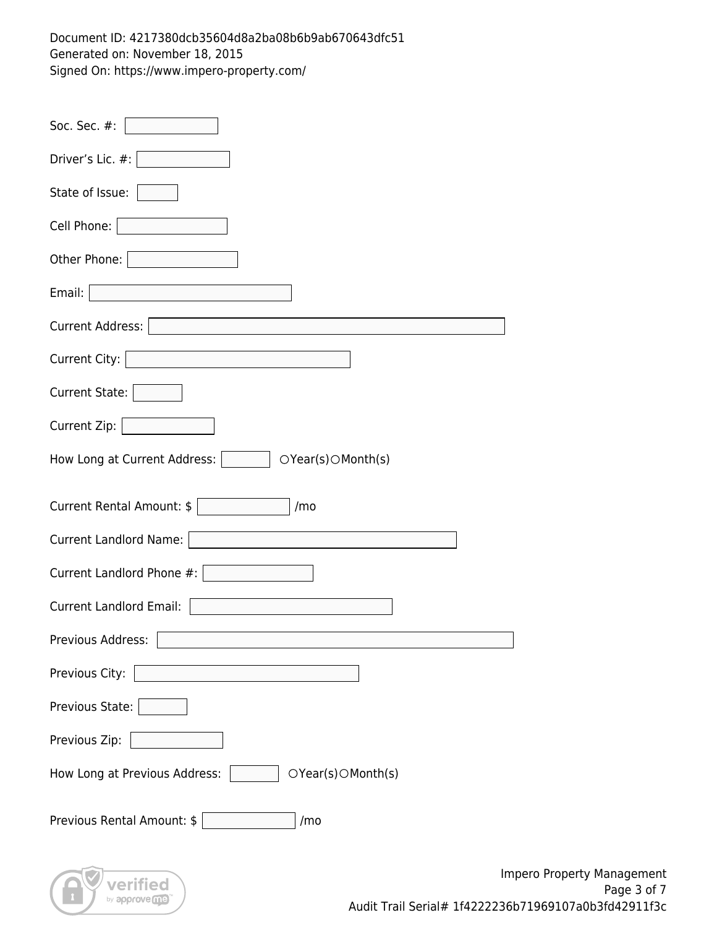| Soc. Sec. #:                                         |
|------------------------------------------------------|
| Driver's Lic. #:                                     |
| State of Issue:                                      |
| Cell Phone:                                          |
| Other Phone:                                         |
| Email:                                               |
| Current Address:                                     |
| Current City:                                        |
| <b>Current State:</b>                                |
| Current Zip:                                         |
| How Long at Current Address:  <br>OYear(s) OMonth(s) |
| Current Rental Amount: \$<br>/mo                     |
| Current Landlord Name:                               |
| Current Landlord Phone #:                            |
| <b>Current Landlord Email:</b>                       |
| г<br>Previous Address:                               |
| Previous City:                                       |
| Previous State:                                      |
| Previous Zip:                                        |
| How Long at Previous Address:<br>OYear(s) OMonth(s)  |
| Previous Rental Amount: \$<br>/mo                    |
| Impe<br>verified                                     |

by approveme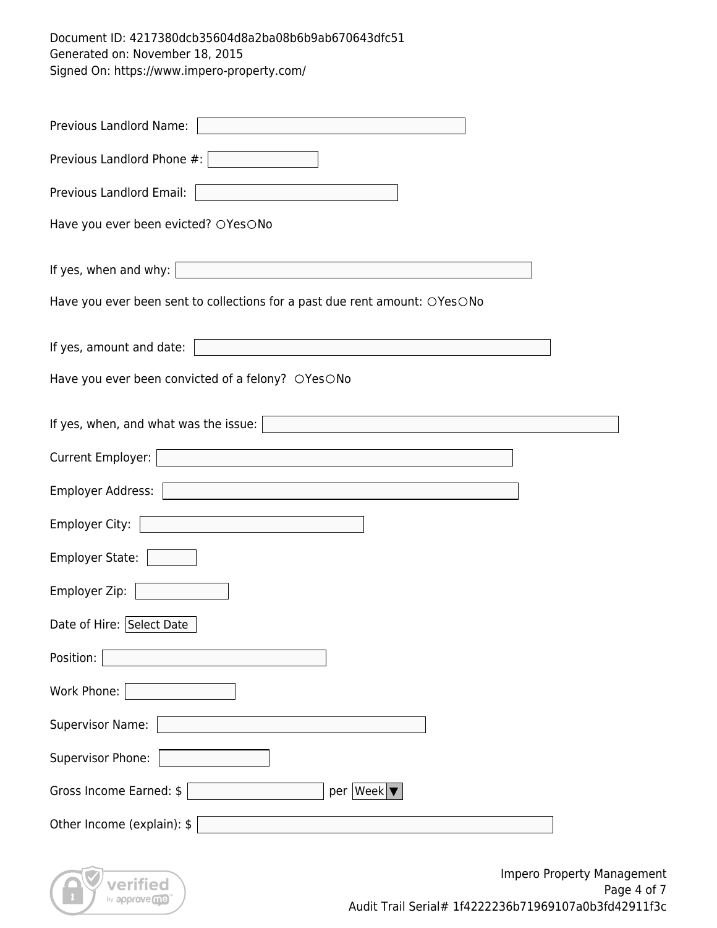| Previous Landlord Name:                                                       |
|-------------------------------------------------------------------------------|
| Previous Landlord Phone #:                                                    |
| Previous Landlord Email:                                                      |
| Have you ever been evicted? OYesONo                                           |
| If yes, when and why: $\vert$<br><u> 1980 - Andrea Andrew Maria (b. 1980)</u> |
| Have you ever been sent to collections for a past due rent amount: OYesONo    |
| If yes, amount and date:                                                      |
| Have you ever been convicted of a felony? OYesONo                             |
| If yes, when, and what was the issue: $\vert$                                 |
| Current Employer:                                                             |
| Employer Address:                                                             |
| Employer City:<br><u> 1989 - Johann Barbara, martxa amerikan personal (</u>   |
| <b>Employer State:</b>                                                        |
| Employer Zip:                                                                 |
| Date of Hire: Select Date                                                     |
| Position:                                                                     |
| Work Phone:                                                                   |
| <b>Supervisor Name:</b>                                                       |
| Supervisor Phone:                                                             |
| Gross Income Earned: \$<br>per   Week   \                                     |
| Other Income (explain): \$                                                    |

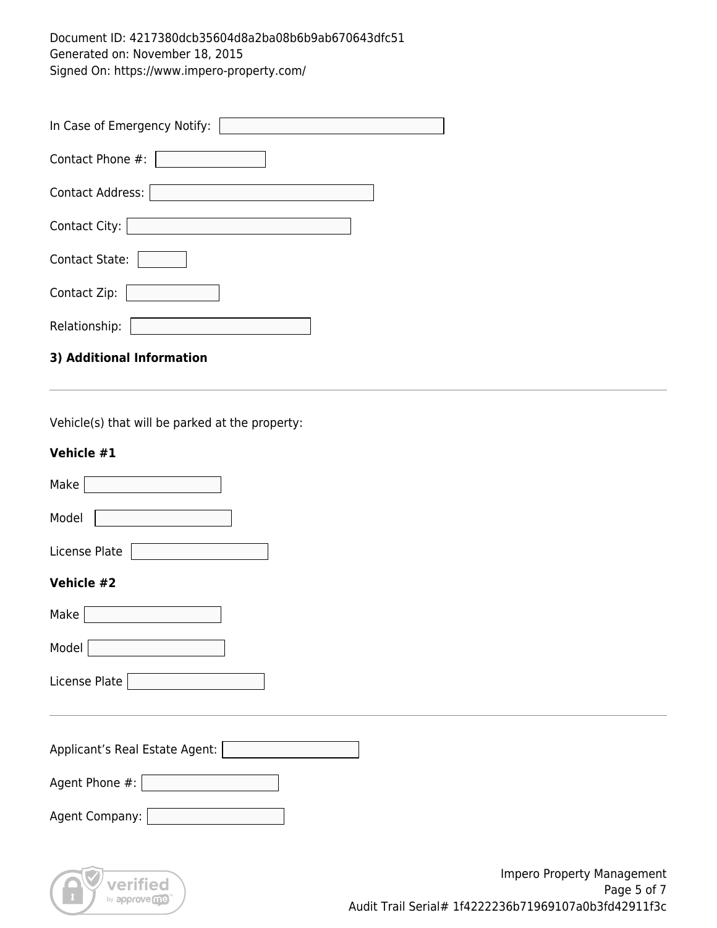| In Case of Emergency Notify: |
|------------------------------|
| Contact Phone #:             |
| <b>Contact Address:</b>      |
| Contact City:                |
| <b>Contact State:</b>        |
| Contact Zip:                 |
| Relationship:                |
| 3) Additional Information    |

Vehicle(s) that will be parked at the property:

#### **Vehicle #1**

| Make                           |
|--------------------------------|
| Model                          |
| License Plate                  |
| Vehicle #2                     |
| Make                           |
| Model                          |
| License Plate                  |
|                                |
| Applicant's Real Estate Agent: |
| Agent Phone #:                 |
| Agent Company:                 |
|                                |

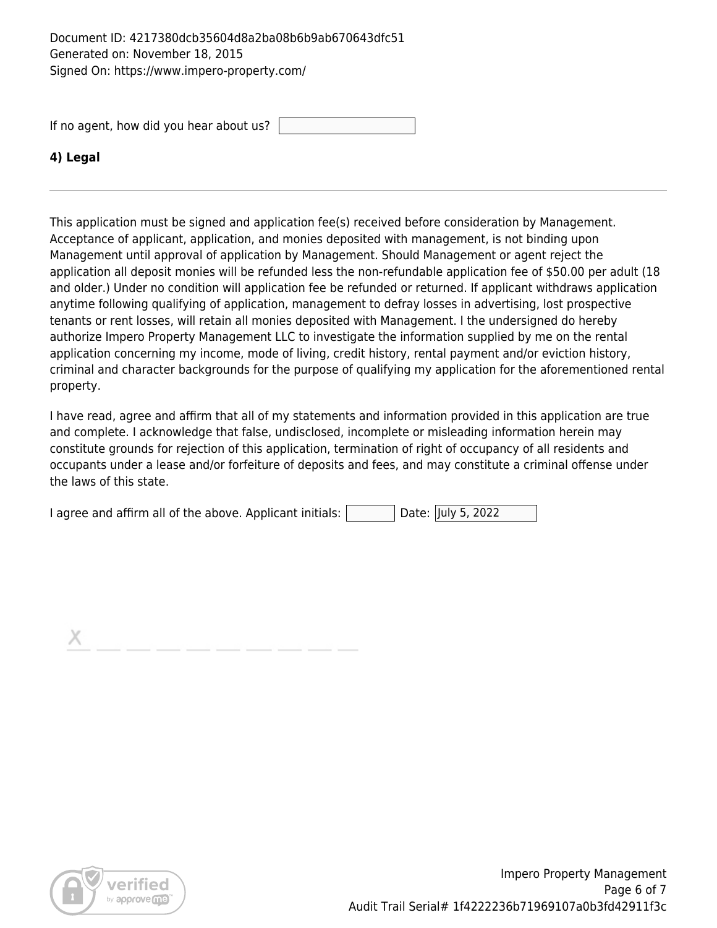If no agent, how did you hear about us?

#### **4) Legal**

This application must be signed and application fee(s) received before consideration by Management. Acceptance of applicant, application, and monies deposited with management, is not binding upon Management until approval of application by Management. Should Management or agent reject the application all deposit monies will be refunded less the non-refundable application fee of \$50.00 per adult (18 and older.) Under no condition will application fee be refunded or returned. If applicant withdraws application anytime following qualifying of application, management to defray losses in advertising, lost prospective tenants or rent losses, will retain all monies deposited with Management. I the undersigned do hereby authorize Impero Property Management LLC to investigate the information supplied by me on the rental application concerning my income, mode of living, credit history, rental payment and/or eviction history, criminal and character backgrounds for the purpose of qualifying my application for the aforementioned rental property.

I have read, agree and affirm that all of my statements and information provided in this application are true and complete. I acknowledge that false, undisclosed, incomplete or misleading information herein may constitute grounds for rejection of this application, termination of right of occupancy of all residents and occupants under a lease and/or forfeiture of deposits and fees, and may constitute a criminal offense under the laws of this state.

| I agree and affirm all of the above. Applicant initials: |  |  | Date: July 5, 2022 |
|----------------------------------------------------------|--|--|--------------------|
|----------------------------------------------------------|--|--|--------------------|